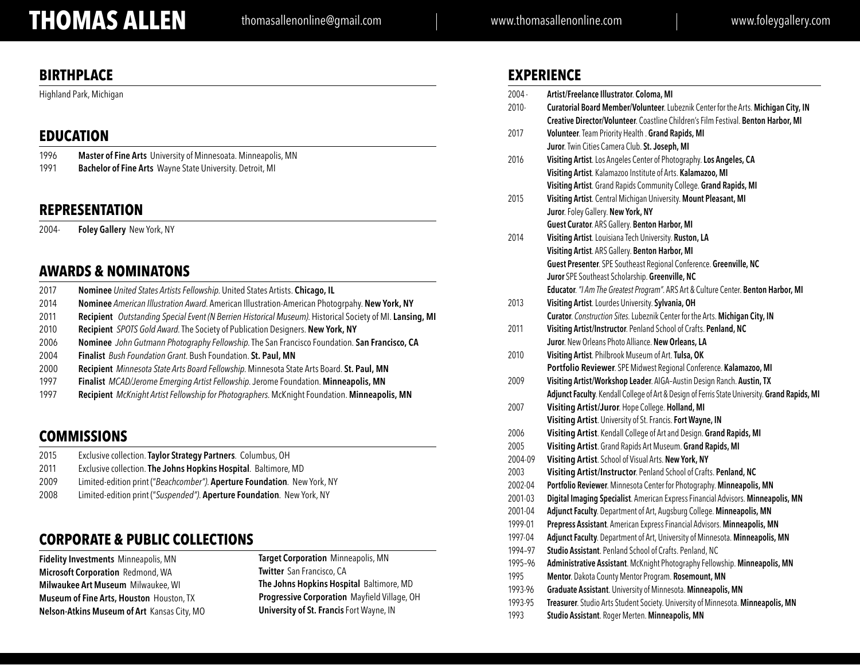## **THOMAS ALLEN** thomasallenonline@gmail.com www.thomasallenonline.com www.foleygallery.com

## **BIRTHPLACE**

Highland Park, Michigan

### **EDUCATION**

| 1996 | Master of Fine Arts University of Minnesoata. Minneapolis, MN |
|------|---------------------------------------------------------------|
| 1991 | Bachelor of Fine Arts Wayne State University. Detroit, MI     |

### **REPRESENTATION**

2004- **Foley Gallery** New York, NY

## **AWARDS & NOMINATONS**

| 2017 | Nominee United States Artists Fellowship. United States Artists. Chicago, IL |  |
|------|------------------------------------------------------------------------------|--|
|------|------------------------------------------------------------------------------|--|

- 2014 **Nominee** *American Illustration Award*. American Illustration-American Photogrpahy. **New York, NY**
- 2011 **Recipient** *Outstanding Special Event (N Berrien Historical Museum)*. Historical Society of MI. **Lansing, MI**
- 2010 **Recipient** *SPOTS Gold Award*. The Society of Publication Designers. **New York, NY**
- 2006 **Nominee** *John Gutmann Photography Fellowship*. The San Francisco Foundation. **San Francisco, CA**
- 2004 **Finalist** *Bush Foundation Grant*. Bush Foundation. **St. Paul, MN**
- 2000 **Recipient** *Minnesota State Arts Board Fellowship*. Minnesota State Arts Board. **St. Paul, MN**
- 1997 **Finalist** *MCAD/Jerome Emerging Artist Fellowship*. Jerome Foundation. **Minneapolis, MN**
- 1997 **Recipient** *McKnight Artist Fellowship for Photographers*. McKnight Foundation. **Minneapolis, MN**

## **COMMISSIONS**

- 2015 Exclusive collection. **Taylor Strategy Partners**. Columbus, OH
- 2011 Exclusive collection. **The Johns Hopkins Hospital**. Baltimore, MD
- 2009 Limited-edition print ("*Beachcomber")*. **Aperture Foundation**. New York, NY
- 2008 Limited-edition print ("*Suspended")*. **Aperture Foundation**. New York, NY

## **CORPORATE & PUBLIC COLLECTIONS**

**Fidelity Investments** Minneapolis, MN **Microsoft Corporation** Redmond, WA **Milwaukee Art Museum** Milwaukee, WI **Museum of Fine Arts, Houston** Houston, TX **Nelson-Atkins Museum of Art** Kansas City, MO **Target Corporation** Minneapolis, MN **Twitter** San Francisco, CA **The Johns Hopkins Hospital** Baltimore, MD **Progressive Corporation** Mayfield Village, OH **University of St. Francis** Fort Wayne, IN

| <b>EXPERIENCE</b> |  |
|-------------------|--|
|-------------------|--|

| $2004 -$ | Artist/Freelance Illustrator. Coloma, MI                                                      |
|----------|-----------------------------------------------------------------------------------------------|
| 2010-    | Curatorial Board Member/Volunteer. Lubeznik Center for the Arts. Michigan City, IN            |
|          | Creative Director/Volunteer. Coastline Children's Film Festival. Benton Harbor, MI            |
| 2017     | Volunteer. Team Priority Health . Grand Rapids, MI                                            |
|          | Juror. Twin Cities Camera Club. St. Joseph, MI                                                |
| 2016     | Visiting Artist. Los Angeles Center of Photography. Los Angeles, CA                           |
|          | Visiting Artist. Kalamazoo Institute of Arts. Kalamazoo, MI                                   |
|          | Visiting Artist. Grand Rapids Community College. Grand Rapids, MI                             |
| 2015     | Visiting Artist. Central Michigan University. Mount Pleasant, MI                              |
|          | Juror. Foley Gallery. New York, NY                                                            |
|          | Guest Curator. ARS Gallery. Benton Harbor, MI                                                 |
| 2014     | Visiting Artist. Louisiana Tech University. Ruston, LA                                        |
|          | Visiting Artist. ARS Gallery. Benton Harbor, MI                                               |
|          | Guest Presenter. SPE Southeast Regional Conference. Greenville, NC                            |
|          | Juror SPE Southeast Scholarship. Greenville, NC                                               |
|          | Educator. "I Am The Greatest Program". ARS Art & Culture Center. Benton Harbor, MI            |
| 2013     | Visiting Artist. Lourdes University. Sylvania, OH                                             |
|          | Curator. Construction Sites. Lubeznik Center for the Arts. Michigan City, IN                  |
| 2011     | Visiting Artist/Instructor. Penland School of Crafts. Penland, NC                             |
|          | Juror. New Orleans Photo Alliance. New Orleans, LA                                            |
| 2010     | Visiting Artist. Philbrook Museum of Art. Tulsa, OK                                           |
|          | Portfolio Reviewer. SPE Midwest Regional Conference. Kalamazoo, MI                            |
| 2009     | Visiting Artist/Workshop Leader. AIGA-Austin Design Ranch. Austin, TX                         |
|          | Adjunct Faculty. Kendall College of Art & Design of Ferris State University. Grand Rapids, MI |
| 2007     | Visiting Artist/Juror. Hope College. Holland, MI                                              |
|          | Visiting Artist. University of St. Francis. Fort Wayne, IN                                    |
| 2006     | Visiting Artist. Kendall College of Art and Design. Grand Rapids, MI                          |
| 2005     | Visiting Artist. Grand Rapids Art Museum. Grand Rapids, MI                                    |
| 2004-09  | Visiting Artist. School of Visual Arts. New York, NY                                          |
| 2003     | Visiting Artist/Instructor. Penland School of Crafts. Penland, NC                             |
| 2002-04  | Portfolio Reviewer. Minnesota Center for Photography. Minneapolis, MN                         |
| 2001-03  | Digital Imaging Specialist. American Express Financial Advisors. Minneapolis, MN              |
| 2001-04  | Adjunct Faculty. Department of Art, Augsburg College. Minneapolis, MN                         |
| 1999-01  | Prepress Assistant. American Express Financial Advisors. Minneapolis, MN                      |
| 1997-04  | Adjunct Faculty. Department of Art, University of Minnesota. Minneapolis, MN                  |
| 1994-97  | Studio Assistant. Penland School of Crafts. Penland, NC                                       |
| 1995-96  | Administrative Assistant. McKnight Photography Fellowship. Minneapolis, MN                    |
| 1995     | Mentor. Dakota County Mentor Program. Rosemount, MN                                           |
| 1993-96  | Graduate Assistant. University of Minnesota. Minneapolis, MN                                  |
| 1993-95  | Treasurer. Studio Arts Student Society. University of Minnesota. Minneapolis, MN              |
|          | $\cdots$<br>$\sim$ $\sim$                                                                     |

1993 **Studio Assistant**. Roger Merten. **Minneapolis, MN**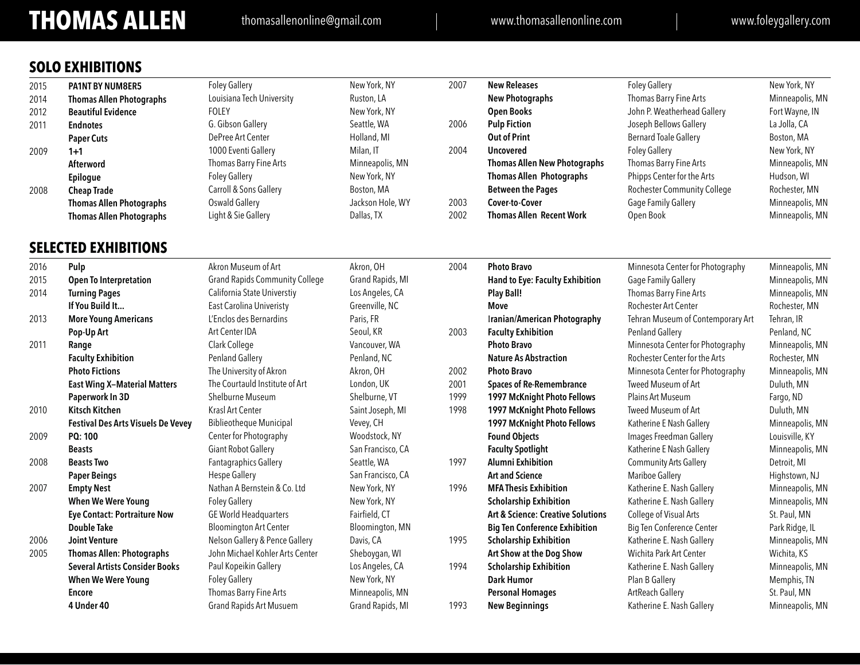## **THOMAS ALLEN** thomasallenonline@gmail.com www.thomasallenonline.com www.foleygallery.com

|  | SOLO EXHIBITIONS |  |
|--|------------------|--|
|--|------------------|--|

| 2015 | <b>PA1NT BY NUM8ER5</b>                   | <b>Foley Gallery</b>                  | New York, NY      | 2007 | <b>New Releases</b>                          | <b>Foley Gallery</b>              | New York, NY    |
|------|-------------------------------------------|---------------------------------------|-------------------|------|----------------------------------------------|-----------------------------------|-----------------|
| 2014 | <b>Thomas Allen Photographs</b>           | Louisiana Tech University             | Ruston, LA        |      | <b>New Photographs</b>                       | Thomas Barry Fine Arts            | Minneapolis, MN |
| 2012 | <b>Beautiful Evidence</b>                 | <b>FOLEY</b>                          | New York, NY      |      | <b>Open Books</b>                            | John P. Weatherhead Gallery       | Fort Wayne, IN  |
| 2011 | <b>Endnotes</b>                           | G. Gibson Gallery                     | Seattle, WA       | 2006 | <b>Pulp Fiction</b>                          | Joseph Bellows Gallery            | La Jolla, CA    |
|      | <b>Paper Cuts</b>                         | DePree Art Center                     | Holland, MI       |      | <b>Out of Print</b>                          | <b>Bernard Toale Gallery</b>      | Boston, MA      |
| 2009 | $1+1$                                     | 1000 Eventi Gallery                   | Milan, IT         | 2004 | <b>Uncovered</b>                             | <b>Foley Gallery</b>              | New York, NY    |
|      | Afterword                                 | Thomas Barry Fine Arts                | Minneapolis, MN   |      | <b>Thomas Allen New Photographs</b>          | Thomas Barry Fine Arts            | Minneapolis, MN |
|      | Epilogue                                  | <b>Foley Gallery</b>                  | New York, NY      |      | <b>Thomas Allen Photographs</b>              | Phipps Center for the Arts        | Hudson, WI      |
| 2008 | <b>Cheap Trade</b>                        | Carroll & Sons Gallery                | Boston, MA        |      | <b>Between the Pages</b>                     | Rochester Community College       | Rochester, MN   |
|      | <b>Thomas Allen Photographs</b>           | Oswald Gallery                        | Jackson Hole, WY  | 2003 | Cover-to-Cover                               | <b>Gage Family Gallery</b>        | Minneapolis, MN |
|      | <b>Thomas Allen Photographs</b>           | Light & Sie Gallery                   | Dallas, TX        | 2002 | <b>Thomas Allen Recent Work</b>              | Open Book                         | Minneapolis, MN |
|      | <b>SELECTED EXHIBITIONS</b>               |                                       |                   |      |                                              |                                   |                 |
| 2016 | Pulp                                      | Akron Museum of Art                   | Akron, OH         | 2004 | <b>Photo Bravo</b>                           | Minnesota Center for Photography  | Minneapolis, MN |
| 2015 | <b>Open To Interpretation</b>             | <b>Grand Rapids Community College</b> | Grand Rapids, MI  |      | Hand to Eye: Faculty Exhibition              | Gage Family Gallery               | Minneapolis, MN |
| 2014 | <b>Turning Pages</b>                      | California State Universtiy           | Los Angeles, CA   |      | <b>Play Ball!</b>                            | Thomas Barry Fine Arts            | Minneapolis, MN |
|      | If You Build It                           | East Carolina Univeristy              | Greenville, NC    |      | Move                                         | Rochester Art Center              | Rochester, MN   |
| 2013 | <b>More Young Americans</b>               | L'Enclos des Bernardins               | Paris, FR         |      | <b>Iranian/American Photography</b>          | Tehran Museum of Contemporary Art | Tehran, IR      |
|      | Pop-Up Art                                | Art Center IDA                        | Seoul, KR         | 2003 | <b>Faculty Exhibition</b>                    | <b>Penland Gallery</b>            | Penland, NC     |
| 2011 | Range                                     | Clark College                         | Vancouver, WA     |      | <b>Photo Bravo</b>                           | Minnesota Center for Photography  | Minneapolis, MN |
|      | <b>Faculty Exhibition</b>                 | <b>Penland Gallery</b>                | Penland, NC       |      | <b>Nature As Abstraction</b>                 | Rochester Center for the Arts     | Rochester, MN   |
|      | <b>Photo Fictions</b>                     | The University of Akron               | Akron, OH         | 2002 | <b>Photo Bravo</b>                           | Minnesota Center for Photography  | Minneapolis, MN |
|      | <b>East Wing X-Material Matters</b>       | The Courtauld Institute of Art        | London, UK        | 2001 | <b>Spaces of Re-Remembrance</b>              | Tweed Museum of Art               | Duluth, MN      |
|      | Paperwork In 3D                           | Shelburne Museum                      | Shelburne, VT     | 1999 | 1997 McKnight Photo Fellows                  | <b>Plains Art Museum</b>          | Fargo, ND       |
| 2010 | <b>Kitsch Kitchen</b>                     | Krasl Art Center                      | Saint Joseph, MI  | 1998 | 1997 McKnight Photo Fellows                  | <b>Tweed Museum of Art</b>        | Duluth, MN      |
|      | <b>Festival Des Arts Visuels De Vevey</b> | <b>Biblieotheque Municipal</b>        | Vevey, CH         |      | 1997 McKnight Photo Fellows                  | Katherine E Nash Gallery          | Minneapolis, MN |
| 2009 | PQ: 100                                   | Center for Photography                | Woodstock, NY     |      | <b>Found Objects</b>                         | Images Freedman Gallery           | Louisville, KY  |
|      | <b>Beasts</b>                             | <b>Giant Robot Gallery</b>            | San Francisco, CA |      | <b>Faculty Spotlight</b>                     | Katherine E Nash Gallery          | Minneapolis, MN |
| 2008 | <b>Beasts Two</b>                         | <b>Fantagraphics Gallery</b>          | Seattle, WA       | 1997 | <b>Alumni Exhibition</b>                     | <b>Community Arts Gallery</b>     | Detroit, MI     |
|      | <b>Paper Beings</b>                       | <b>Hespe Gallery</b>                  | San Francisco, CA |      | <b>Art and Science</b>                       | Mariboe Gallery                   | Highstown, NJ   |
| 2007 | <b>Empty Nest</b>                         | Nathan A Bernstein & Co. Ltd          | New York, NY      | 1996 | <b>MFA Thesis Exhibition</b>                 | Katherine E. Nash Gallery         | Minneapolis, MN |
|      | <b>When We Were Young</b>                 | <b>Foley Gallery</b>                  | New York, NY      |      | <b>Scholarship Exhibition</b>                | Katherine E. Nash Gallery         | Minneapolis, MN |
|      | <b>Eye Contact: Portraiture Now</b>       | <b>GE World Headquarters</b>          | Fairfield, CT     |      | <b>Art &amp; Science: Creative Solutions</b> | College of Visual Arts            | St. Paul, MN    |
|      | <b>Double Take</b>                        | <b>Bloomington Art Center</b>         | Bloomington, MN   |      | <b>Big Ten Conference Exhibition</b>         | Big Ten Conference Center         | Park Ridge, IL  |
| 2006 | <b>Joint Venture</b>                      | Nelson Gallery & Pence Gallery        | Davis, CA         | 1995 | <b>Scholarship Exhibition</b>                | Katherine E. Nash Gallery         | Minneapolis, MN |
| 2005 | <b>Thomas Allen: Photographs</b>          | John Michael Kohler Arts Center       | Sheboygan, WI     |      | Art Show at the Dog Show                     | Wichita Park Art Center           | Wichita, KS     |
|      | <b>Several Artists Consider Books</b>     | Paul Kopeikin Gallery                 | Los Angeles, CA   | 1994 | <b>Scholarship Exhibition</b>                | Katherine E. Nash Gallery         | Minneapolis, MN |
|      | <b>When We Were Young</b>                 | <b>Foley Gallery</b>                  | New York, NY      |      | <b>Dark Humor</b>                            | Plan B Gallery                    | Memphis, TN     |
|      | <b>Encore</b>                             | Thomas Barry Fine Arts                | Minneapolis, MN   |      | <b>Personal Homages</b>                      | ArtReach Gallery                  | St. Paul, MN    |
|      | 4 Under 40                                | <b>Grand Rapids Art Musuem</b>        | Grand Rapids, MI  | 1993 | <b>New Beginnings</b>                        | Katherine E. Nash Gallery         | Minneapolis, MN |
|      |                                           |                                       |                   |      |                                              |                                   |                 |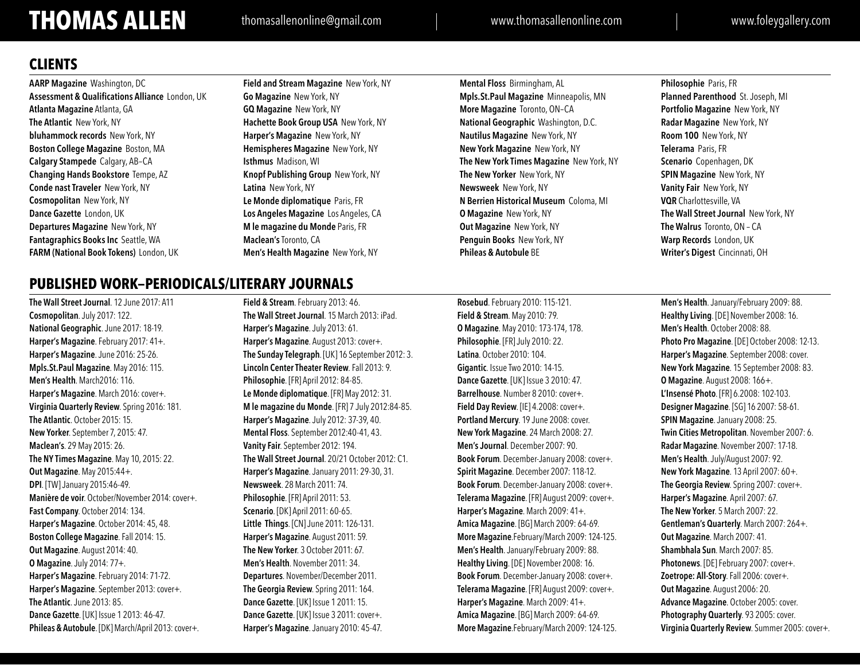# **THOMAS ALLEN** thomasallenonline@gmail.com www.thomasallenonline.com www.foleygallery.com

## **CLIENTS**

**AARP Magazine** Washington, DC **Assessment & Qualifications Alliance** London, UK **Atlanta Magazine** Atlanta, GA **The Atlantic** New York, NY **bluhammock records** New York, NY **Boston College Magazine** Boston, MA **Calgary Stampede** Calgary, AB–CA **Changing Hands Bookstore** Tempe, AZ **Conde nast Traveler** New York, NY **Cosmopolitan** New York, NY **Dance Gazette** London, UK **Departures Magazine** New York, NY **Fantagraphics Books Inc** Seattle, WA **FARM (National Book Tokens)** London, UK

**Field and Stream Magazine** New York, NY **Go Magazine** New York, NY **GQ Magazine** New York, NY **Hachette Book Group USA** New York, NY **Harper's Magazine** New York, NY **Hemispheres Magazine** New York, NY **Isthmus** Madison, WI **Knopf Publishing Group** New York, NY **Latina** New York, NY **Le Monde diplomatique** Paris, FR **Los Angeles Magazine** Los Angeles, CA **M le magazine du Monde** Paris, FR **Maclean's** Toronto, CA **Men's Health Magazine** New York, NY

**Mental Floss** Birmingham, AL **Mpls.St.Paul Magazine** Minneapolis, MN **More Magazine** Toronto, ON–CA **National Geographic** Washington, D.C. **Nautilus Magazine** New York, NY **New York Magazine** New York, NY **The New York Times Magazine** New York, NY **The New Yorker** New York, NY **Newsweek** New York, NY **N Berrien Historical Museum** Coloma, MI **O Magazine** New York, NY **Out Magazine** New York, NY **Penguin Books** New York, NY **Phileas & Autobule** BE

**Philosophie** Paris, FR **Planned Parenthood** St. Joseph, MI **Portfolio Magazine** New York, NY **Radar Magazine** New York, NY **Room 100** New York, NY **Telerama** Paris, FR **Scenario** Copenhagen, DK **SPIN Magazine** New York, NY **Vanity Fair** New York, NY **VQR** Charlottesville, VA **The Wall Street Journal** New York, NY **The Walrus** Toronto, ON – CA **Warp Records** London, UK **Writer's Digest** Cincinnati, OH

## **PUBLISHED WORK—PERIODICALS/LITERARY JOURNALS**

**The Wall Street Journal**. 12 June 2017: A11 **Cosmopolitan**. July 2017: 122. **National Geographic**. June 2017: 18-19. **Harper's Magazine**. February 2017: 41+. **Harper's Magazine**. June 2016: 25-26. **Mpls.St.Paul Magazine**. May 2016: 115. **Men's Health**. March2016: 116. **Harper's Magazine**. March 2016: cover+. **Virginia Quarterly Review**. Spring 2016: 181. **The Atlantic**. October 2015: 15. **New Yorker**. September 7, 2015: 47. **Maclean's**. 29 May 2015: 26. **The NY Times Magazine**. May 10, 2015: 22. **Out Magazine**. May 2015:44+. **DPI**. [TW] January 2015:46-49. **Manière de voir**. October/November 2014: cover+. **Fast Company**. October 2014: 134. **Harper's Magazine**. October 2014: 45, 48. **Boston College Magazine**. Fall 2014: 15. **Out Magazine**. August 2014: 40. **O Magazine**. July 2014: 77+. **Harper's Magazine**. February 2014: 71-72. **Harper's Magazine**. September 2013: cover+. **The Atlantic**. June 2013: 85. **Dance Gazette**. [UK] Issue 1 2013: 46-47. **Phileas & Autobule**. [DK] March/April 2013: cover+.

**Field & Stream**. February 2013: 46. **The Wall Street Journal**. 15 March 2013: iPad. **Harper's Magazine**. July 2013: 61. **Harper's Magazine**. August 2013: cover+. **The Sunday Telegraph**. [UK] 16 September 2012: 3. **Lincoln Center Theater Review**.Fall 2013: 9. **Philosophie**. [FR] April 2012: 84-85. **Le Monde diplomatique**. [FR] May 2012: 31. **M le magazine du Monde**. [FR] 7 July 2012:84-85. **Harper's Magazine**. July 2012: 37-39, 40. **Mental Floss**. September 2012:40-41, 43. **Vanity Fair**. September 2012: 194. **The Wall Street Journal**. 20/21 October 2012: C1. **Harper's Magazine**. January 2011: 29-30, 31. **Newsweek**. 28 March 2011: 74. **Philosophie**. [FR] April 2011: 53. **Scenario**. [DK] April 2011: 60-65. **Little Things**. [CN] June 2011: 126-131. **Harper's Magazine**. August 2011: 59. **The New Yorker**. 3 October 2011: 67. **Men's Health**. November 2011: 34. **Departures**. November/December 2011. **The Georgia Review**. Spring 2011: 164. **Dance Gazette**. [UK] Issue 1 2011: 15. **Dance Gazette**. [UK] Issue 3 2011: cover+. **Harper's Magazine**. January 2010: 45-47.

**Rosebud**. February 2010: 115-121. **Field & Stream**. May 2010: 79. **O Magazine**. May 2010: 173-174, 178. **Philosophie**. [FR] July 2010: 22. **Latina**. October 2010: 104. **Gigantic**. Issue Two 2010: 14-15. **Dance Gazette**. [UK] Issue 3 2010: 47. **Barrelhouse**. Number 8 2010: cover+. **Field Day Review**. [IE] 4.2008: cover+. **Portland Mercury**. 19 June 2008: cover. **New York Magazine**. 24 March 2008: 27. **Men's Journal**. December 2007: 90. **Book Forum**. December-January 2008: cover+. **Spirit Magazine**. December 2007: 118-12. **Book Forum**. December-January 2008: cover+. **Telerama Magazine**. [FR] August 2009: cover+. **Harper's Magazine**. March 2009: 41+. **Amica Magazine**. [BG] March 2009: 64-69. **More Magazine**.February/March 2009: 124-125. **Men's Health**. January/February 2009: 88. **Healthy Living**. [DE] November 2008: 16. **Book Forum**. December-January 2008: cover+. **Telerama Magazine**. [FR] August 2009: cover+. **Harper's Magazine**. March 2009: 41+. **Amica Magazine**. [BG] March 2009: 64-69. **More Magazine**.February/March 2009: 124-125.

**Men's Health**. January/February 2009: 88. **Healthy Living**. [DE] November 2008: 16. **Men's Health**. October 2008: 88. **Photo Pro Magazine**. [DE] October 2008: 12-13. **Harper's Magazine**. September 2008: cover. **New York Magazine**. 15 September 2008: 83. **O Magazine**. August 2008: 166+. **L'Insensé Photo**. [FR] 6.2008: 102-103. **Designer Magazine**. [SG] 16 2007: 58-61. **SPIN Magazine**. January 2008: 25. **Twin Cities Metropolitan**. November 2007: 6. **Radar Magazine**. November 2007: 17-18. **Men's Health**. July/August 2007: 92. **New York Magazine**. 13 April 2007: 60+. **The Georgia Review**. Spring 2007: cover+. **Harper's Magazine**. April 2007: 67. **The New Yorker**. 5 March 2007: 22. **Gentleman's Quarterly**. March 2007: 264+. **Out Magazine**. March 2007: 41. **Shambhala Sun**. March 2007: 85. **Photonews**. [DE] February 2007: cover+. **Zoetrope: All-Story**. Fall 2006: cover+. **Out Magazine**. August 2006: 20. **Advance Magazine**. October 2005: cover. **Photography Quarterly**. 93 2005: cover. **Virginia Quarterly Review**. Summer 2005: cover+.